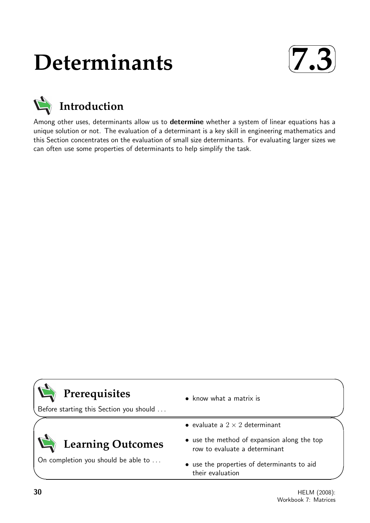# **Determinants**





Among other uses, determinants allow us to determine whether a system of linear equations has a unique solution or not. The evaluation of a determinant is a key skill in engineering mathematics and this Section concentrates on the evaluation of small size determinants. For evaluating larger sizes we can often use some properties of determinants to help simplify the task.

| Prerequisites<br>Before starting this Section you should | $\bullet$ know what a matrix is                                              |
|----------------------------------------------------------|------------------------------------------------------------------------------|
|                                                          | • evaluate a $2 \times 2$ determinant                                        |
| <b>Learning Outcomes</b>                                 | • use the method of expansion along the top<br>row to evaluate a determinant |
| On completion you should be able to                      | • use the properties of determinants to aid<br>their evaluation              |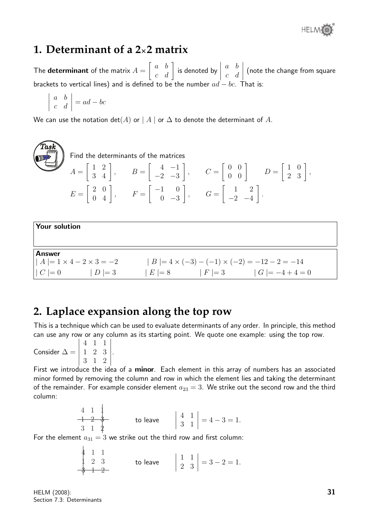®

### **1. Determinant of a 2**×**2 matrix**

The **determinant** of the matrix  $A =$  $\left[\begin{array}{cc} a & b \ c & d \end{array}\right]$  is denoted by  $\begin{array}{c} \begin{array}{c} \begin{array}{c} \end{array} \\ \begin{array}{c} \end{array} \end{array} \end{array}$ a b c d  $\begin{array}{c} \hline \end{array}$ (note the change from square brackets to vertical lines) and is defined to be the number  $ad - bc$ . That is:

$$
\left| \begin{array}{cc} a & b \\ c & d \end{array} \right| = ad - bc
$$

We can use the notation  $det(A)$  or  $|A|$  or  $\Delta$  to denote the determinant of A.

 $\widehat{T}$ as $\widehat{k}$ Find the determinants of the matrices  $A =$  $\left[\begin{array}{cc} 1 & 2 \\ 3 & 4 \end{array}\right]$ ,  $B =$  $\begin{bmatrix} 4 & -1 \end{bmatrix}$  $-2$   $-3$ 1  $, \qquad C =$  $\left[\begin{array}{cc} 0 & 0 \\ 0 & 0 \end{array}\right] \qquad D =$  $\left[\begin{array}{cc} 1 & 0 \\ 2 & 3 \end{array}\right],$  $E =$  $\left[\begin{array}{cc} 2 & 0 \\ 0 & 4 \end{array}\right], \qquad F =$  $\begin{bmatrix} -1 & 0 \end{bmatrix}$  $0 -3$ 1  $, \qquad G =$  $\begin{bmatrix} 1 & 2 \end{bmatrix}$  $-2$   $-4$ 1 . Your solution

Answer  $| A | = 1 \times 4 - 2 \times 3 = -2$   $| B | = 4 \times (-3) - (-1) \times (-2) = -12 - 2 = -14$  $| C | = 0$   $| D | = 3$   $| E | = 8$   $| F | = 3$   $| G | = -4 + 4 = 0$ 

## **2. Laplace expansion along the top row**

This is a technique which can be used to evaluate determinants of any order. In principle, this method can use any row or any column as its starting point. We quote one example: using the top row.

Consider  $\Delta =$  $|4 \t1 \t1|$  $\begin{bmatrix} 4 & 1 & 1 \\ 1 & 2 & 3 \\ 2 & 4 & 3 \end{bmatrix}$  $\overline{\phantom{a}}$  $3 \quad 1$  $\Big\}$ .  $\Big\}$ 

 $\begin{bmatrix} 0 & 1 & 2 \\ 0 & 0 & 0 \end{bmatrix}$ First we introduce the idea of a minor. Each element in this array of numbers has an associated minor formed by removing the column and row in which the element lies and taking the determinant of the remainder. For example consider element  $a_{23} = 3$ . We strike out the second row and the third column:

$$
\begin{array}{ccc|c}\n4 & 1 & 1 \\
-1 & 2 & 3 \\
3 & 1 & 2\n\end{array}
$$
\nto leave\n
$$
\begin{array}{|c|c|c|}\n4 & 1 & 1 & 4 \\
3 & 1 & 4 & 1\n\end{array}
$$
\n
$$
= 4 - 3 = 1.
$$

For the element  $a_{31} = 3$  we strike out the third row and first column:

$$
\begin{array}{ccc|c}\n4 & 1 & 1 \\
1 & 2 & 3 \\
8 & 1 & 2\n\end{array}
$$
 to leave  $\begin{vmatrix} 1 & 1 \\
2 & 3 \end{vmatrix} = 3 - 2 = 1.$ 

HELM (2008): Section 7.3: Determinants

 $\mathbf{I}$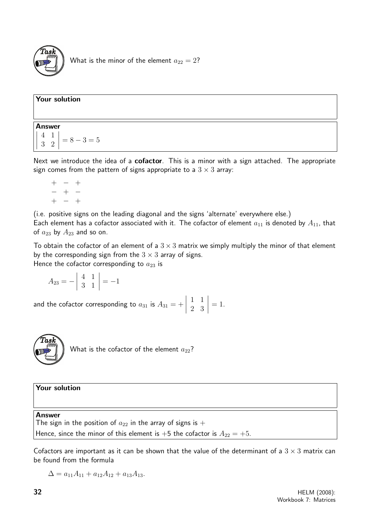

What is the minor of the element  $a_{22} = 2$ ?

| <b>Your solution</b>                                                                                  |  |
|-------------------------------------------------------------------------------------------------------|--|
| Answer<br>$\begin{vmatrix} 4 & 1 \\ 3 & 2 \end{vmatrix} = 8 - 3 = 5$                                  |  |
| Next we introduce the idea of a <b>cofactor</b> This is a minor with a sign attached. The appropriate |  |

n attached.  $\,$  I he appropriate sign comes from the pattern of signs appropriate to a  $3 \times 3$  array:

 $+$   $+$ − + − + − +

(i.e. positive signs on the leading diagonal and the signs 'alternate' everywhere else.) Each element has a cofactor associated with it. The cofactor of element  $a_{11}$  is denoted by  $A_{11}$ , that of  $a_{23}$  by  $A_{23}$  and so on.

To obtain the cofactor of an element of a  $3 \times 3$  matrix we simply multiply the minor of that element by the corresponding sign from the  $3 \times 3$  array of signs.

Hence the cofactor corresponding to  $a_{23}$  is

 $A_{23} = -$  4 1 3 1  $\Big| = -1$ 

and the cofactor corresponding to  $a_{31}$  is  $A_{31}=+$  1 1 2 3  $= 1$ .



What is the cofactor of the element  $a_{22}$ ?

Your solution

Answer

The sign in the position of  $a_{22}$  in the array of signs is  $+$ Hence, since the minor of this element is +5 the cofactor is  $A_{22} = +5$ .

Cofactors are important as it can be shown that the value of the determinant of a  $3 \times 3$  matrix can be found from the formula

$$
\Delta = a_{11}A_{11} + a_{12}A_{12} + a_{13}A_{13}.
$$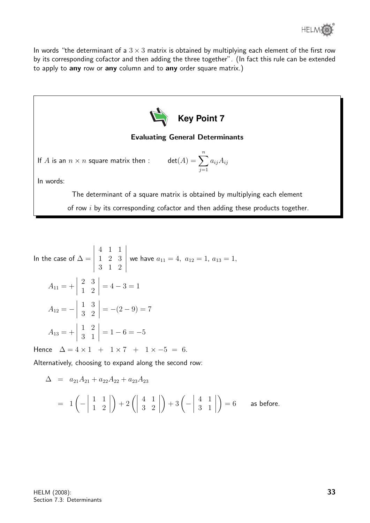

In words "the determinant of a  $3 \times 3$  matrix is obtained by multiplying each element of the first row by its corresponding cofactor and then adding the three together". (In fact this rule can be extended to apply to any row or any column and to any order square matrix.)



In the case of 
$$
\Delta = \begin{vmatrix} 4 & 1 & 1 \\ 1 & 2 & 3 \\ 3 & 1 & 2 \end{vmatrix}
$$
 we have  $a_{11} = 4$ ,  $a_{12} = 1$ ,  $a_{13} = 1$ ,  
\n
$$
A_{11} = + \begin{vmatrix} 2 & 3 \\ 1 & 2 \end{vmatrix} = 4 - 3 = 1
$$
\n
$$
A_{12} = - \begin{vmatrix} 1 & 3 \\ 3 & 2 \end{vmatrix} = -(2 - 9) = 7
$$
\n
$$
A_{13} = + \begin{vmatrix} 1 & 2 \\ 3 & 1 \end{vmatrix} = 1 - 6 = -5
$$
\nHence  $\Delta = 4 \times 1 + 1 \times 7 + 1 \times -5 = 6$ .

Alternatively, choosing to expand along the second row:

$$
\Delta = a_{21}A_{21} + a_{22}A_{22} + a_{23}A_{23}
$$
  
=  $1\left(-\begin{vmatrix} 1 & 1 \\ 1 & 2 \end{vmatrix}\right) + 2\left(\begin{vmatrix} 4 & 1 \\ 3 & 2 \end{vmatrix}\right) + 3\left(-\begin{vmatrix} 4 & 1 \\ 3 & 1 \end{vmatrix}\right) = 6$  as before.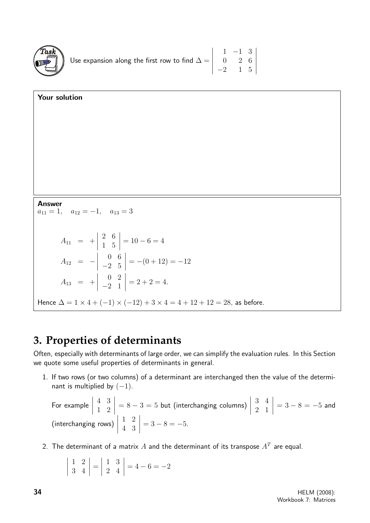

| Use expansion along the first row to find $\Delta = \begin{vmatrix} 1 & -1 & 3 \\ 0 & 2 & 6 \\ -2 & 1 & 5 \end{vmatrix}$ |  |  |
|--------------------------------------------------------------------------------------------------------------------------|--|--|

| Your solution                                                                                |
|----------------------------------------------------------------------------------------------|
|                                                                                              |
|                                                                                              |
|                                                                                              |
|                                                                                              |
|                                                                                              |
|                                                                                              |
| <b>Answer</b><br>$a_{11} = 1, \quad a_{12} = -1, \quad a_{13} = 3$                           |
|                                                                                              |
| $A_{11} = + \begin{vmatrix} 2 & 6 \\ 1 & 5 \end{vmatrix} = 10 - 6 = 4$                       |
| $A_{12} = - \begin{vmatrix} 0 & 6 \\ -2 & 5 \end{vmatrix} = -(0 + 12) = -12$                 |
| $A_{13} = + \begin{vmatrix} 0 & 2 \\ -2 & 1 \end{vmatrix} = 2 + 2 = 4.$                      |
| Hence $\Delta = 1 \times 4 + (-1) \times (-12) + 3 \times 4 = 4 + 12 + 12 = 28$ , as before. |

## **3. Properties of determinants**

Often, especially with determinants of large order, we can simplify the evaluation rules. In this Section we quote some useful properties of determinants in general.

1. If two rows (or two columns) of a determinant are interchanged then the value of the determinant is multiplied by  $(-1)$ .

For example 
$$
\begin{vmatrix} 4 & 3 \\ 1 & 2 \end{vmatrix} = 8 - 3 = 5
$$
 but (interchanging columns)  $\begin{vmatrix} 3 & 4 \\ 2 & 1 \end{vmatrix} = 3 - 8 = -5$  and (interchanging rows)  $\begin{vmatrix} 1 & 2 \\ 4 & 3 \end{vmatrix} = 3 - 8 = -5$ .

2. The determinant of a matrix  $A$  and the determinant of its transpose  $A^T$  are equal.

$$
\left| \begin{array}{cc} 1 & 2 \\ 3 & 4 \end{array} \right| = \left| \begin{array}{cc} 1 & 3 \\ 2 & 4 \end{array} \right| = 4 - 6 = -2
$$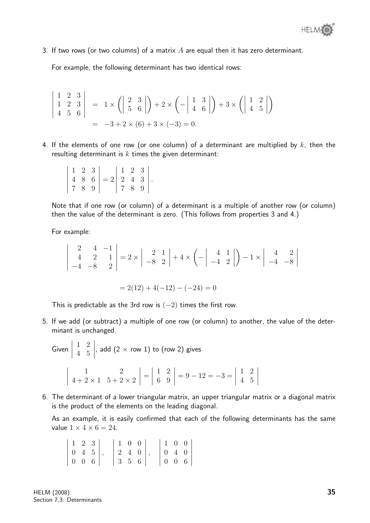3. If two rows (or two columns) of a matrix  $A$  are equal then it has zero determinant.

For example, the following determinant has two identical rows:

$$
\begin{vmatrix} 1 & 2 & 3 \ 1 & 2 & 3 \ 4 & 5 & 6 \end{vmatrix} = 1 \times \left( \begin{vmatrix} 2 & 3 \ 5 & 6 \end{vmatrix} \right) + 2 \times \left( - \begin{vmatrix} 1 & 3 \ 4 & 6 \end{vmatrix} \right) + 3 \times \left( \begin{vmatrix} 1 & 2 \ 4 & 5 \end{vmatrix} \right)
$$
  
= -3 + 2 \times (6) + 3 \times (-3) = 0.

4. If the elements of one row (or one column) of a determinant are multiplied by  $k$ , then the resulting determinant is  $k$  times the given determinant:

|  |  | $\begin{vmatrix} 1 & 2 & 3 \\ 4 & 8 & 6 \\ 7 & 8 & 9 \end{vmatrix} = 2 \begin{vmatrix} 1 & 2 & 3 \\ 2 & 4 & 3 \\ 7 & 8 & 9 \end{vmatrix}.$ |  |  |
|--|--|--------------------------------------------------------------------------------------------------------------------------------------------|--|--|

Note that if one row (or column) of a determinant is a multiple of another row (or column) then the value of the determinant is zero. (This follows from properties 3 and 4.)

For example:

$$
\begin{vmatrix} 2 & 4 & -1 \\ 4 & 2 & 1 \\ -4 & -8 & 2 \end{vmatrix} = 2 \times \begin{vmatrix} 2 & 1 \\ -8 & 2 \end{vmatrix} + 4 \times \left( - \begin{vmatrix} 4 & 1 \\ -4 & 2 \end{vmatrix} \right) - 1 \times \begin{vmatrix} 4 & 2 \\ -4 & -8 \end{vmatrix}
$$

$$
= 2(12) + 4(-12) - (-24) = 0
$$

This is predictable as the 3rd row is  $(-2)$  times the first row.

5. If we add (or subtract) a multiple of one row (or column) to another, the value of the determinant is unchanged.

Given 
$$
\begin{vmatrix} 1 & 2 \\ 4 & 5 \end{vmatrix}
$$
, add  $(2 \times$  row 1) to (row 2) gives  

$$
\begin{vmatrix} 1 & 2 \\ 4 + 2 \times 1 & 5 + 2 \times 2 \end{vmatrix} = \begin{vmatrix} 1 & 2 \\ 6 & 9 \end{vmatrix} = 9 - 12 = -3 = \begin{vmatrix} 1 & 2 \\ 4 & 5 \end{vmatrix}
$$

6. The determinant of a lower triangular matrix, an upper triangular matrix or a diagonal matrix is the product of the elements on the leading diagonal.

As an example, it is easily confirmed that each of the following determinants has the same value  $1 \times 4 \times 6 = 24$ .

|  | 123                                                                     | $\begin{pmatrix} 1 & 0 & 0 \end{pmatrix}$                 |  |  |                                                                                                    |
|--|-------------------------------------------------------------------------|-----------------------------------------------------------|--|--|----------------------------------------------------------------------------------------------------|
|  |                                                                         | $\begin{bmatrix} 2 & 4 & 0 \end{bmatrix}$ ,               |  |  |                                                                                                    |
|  | $\left[\begin{array}{ccc c} 0 & 4 & 5 \\ 0 & 0 & 6 \end{array}\right],$ | $\begin{array}{ c c c c c } \hline 3 & 5 & 6 \end{array}$ |  |  | $\begin{array}{ c c c c } \hline 1 & 0 & 0 & 0 \\ 0 & 4 & 0 & 0 \\ 0 & 0 & 6 & \hline \end{array}$ |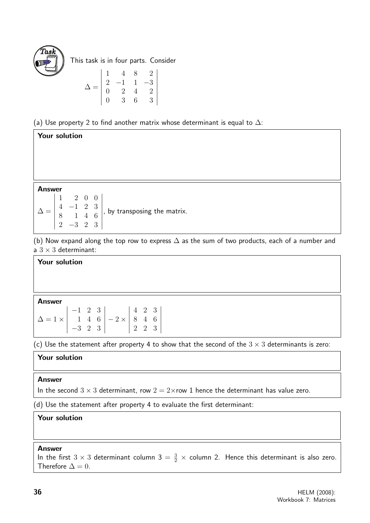

Your solution

This task is in four parts. Consider

$$
\Delta = \begin{vmatrix} 1 & 4 & 8 & 2 \\ 2 & -1 & 1 & -3 \\ 0 & 2 & 4 & 2 \\ 0 & 3 & 6 & 3 \end{vmatrix}
$$

(a) Use property 2 to find another matrix whose determinant is equal to  $\Delta$ :

| <b>Answer</b><br>$\Delta = \begin{vmatrix} 1 & 2 & 0 & 0 \\ 4 & -1 & 2 & 3 \\ 8 & 1 & 4 & 6 \\ 2 & -3 & 2 & 3 \end{vmatrix}$ , by transposing the matrix. |  |  |  |
|-----------------------------------------------------------------------------------------------------------------------------------------------------------|--|--|--|
|                                                                                                                                                           |  |  |  |
|                                                                                                                                                           |  |  |  |

(b) Now expand along the top row to express  $\Delta$  as the sum of two products, each of a number and a  $3 \times 3$  determinant:

#### Your solution

Answer

| $\Delta = 1 \times \begin{vmatrix} -1 & 2 & 3 \\ 1 & 4 & 6 \\ -3 & 2 & 3 \end{vmatrix} - 2 \times \begin{vmatrix} 4 & 2 & 3 \\ 8 & 4 & 6 \\ 2 & 2 & 3 \end{vmatrix}$ |  |  |  |  |
|----------------------------------------------------------------------------------------------------------------------------------------------------------------------|--|--|--|--|
|                                                                                                                                                                      |  |  |  |  |
|                                                                                                                                                                      |  |  |  |  |

(c) Use the statement after property 4 to show that the second of the  $3 \times 3$  determinants is zero:

#### Your solution

#### Answer

In the second  $3 \times 3$  determinant, row  $2 = 2 \times$ row 1 hence the determinant has value zero.

(d) Use the statement after property 4 to evaluate the first determinant:

#### Your solution

#### Answer

In the first  $3 \times 3$  determinant column  $3 = \frac{3}{2} \times$  column 2. Hence this determinant is also zero. Therefore  $\Delta = 0$ .